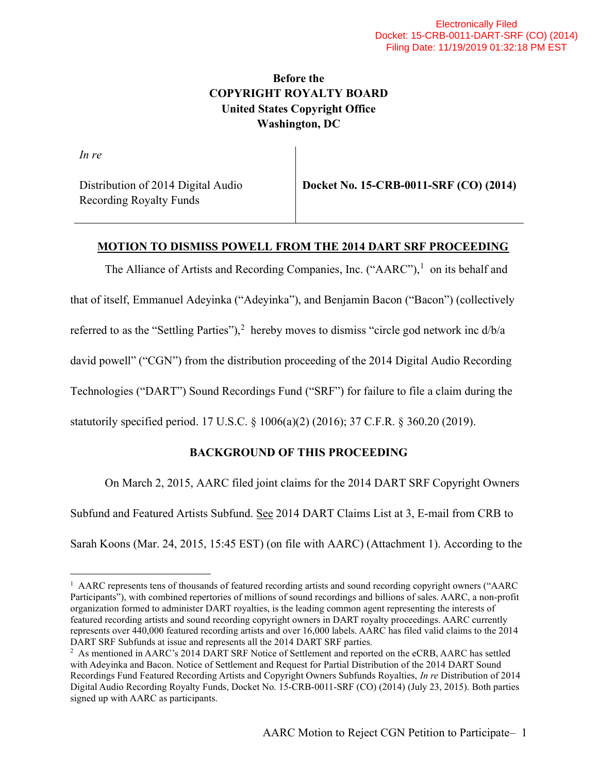# Before the COPYRIGHT ROYALTY BOARD United States Copyright Office Washington, DC

In re

Distribution of 2014 Digital Audio Recording Royalty Funds

Docket No. 15-CRB-0011-SRF (CO) (2014)

### MOTION TO DISMISS POWELL FROM THE 2014 DART SRF PROCEEDING

The Alliance of Artists and Recording Companies, Inc. ("AARC"), $<sup>1</sup>$  on its behalf and</sup>

that of itself, Emmanuel Adeyinka ("Adeyinka"), and Benjamin Bacon ("Bacon") (collectively

referred to as the "Settling Parties"),<sup>2</sup> hereby moves to dismiss "circle god network inc  $d/b/a$ 

david powell" ("CGN") from the distribution proceeding of the 2014 Digital Audio Recording

Technologies ("DART") Sound Recordings Fund ("SRF") for failure to file a claim during the

statutorily specified period. 17 U.S.C. § 1006(a)(2) (2016); 37 C.F.R. § 360.20 (2019).

## BACKGROUND OF THIS PROCEEDING

On March 2, 2015, AARC filed joint claims for the 2014 DART SRF Copyright Owners

Subfund and Featured Artists Subfund. See 2014 DART Claims List at 3, E-mail from CRB to

Sarah Koons (Mar. 24, 2015, 15:45 EST) (on file with AARC) (Attachment 1). According to the

<sup>&</sup>lt;sup>1</sup> AARC represents tens of thousands of featured recording artists and sound recording copyright owners ("AARC Participants"), with combined repertories of millions of sound recordings and billions of sales. AARC, a non-profit organization formed to administer DART royalties, is the leading common agent representing the interests of featured recording artists and sound recording copyright owners in DART royalty proceedings. AARC currently represents over 440,000 featured recording artists and over 16,000 labels. AARC has filed valid claims to the 2014 DART SRF Subfunds at issue and represents all the 2014 DART SRF parties.

<sup>&</sup>lt;sup>2</sup> As mentioned in AARC's 2014 DART SRF Notice of Settlement and reported on the eCRB, AARC has settled with Adeyinka and Bacon. Notice of Settlement and Request for Partial Distribution of the 2014 DART Sound Recordings Fund Featured Recording Artists and Copyright Owners Subfunds Royalties, In re Distribution of 2014 Digital Audio Recording Royalty Funds, Docket No. 15-CRB-0011-SRF (CO) (2014) (July 23, 2015). Both parties signed up with AARC as participants.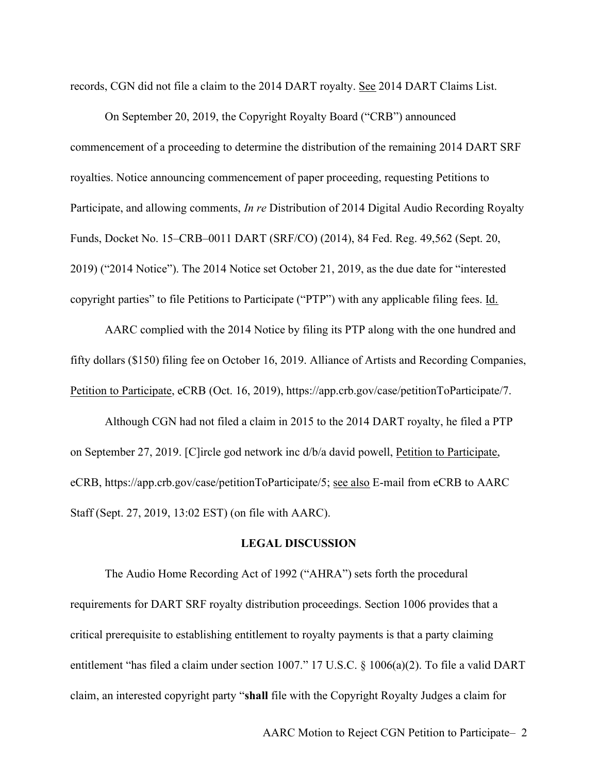records, CGN did not file a claim to the 2014 DART royalty. See 2014 DART Claims List.

On September 20, 2019, the Copyright Royalty Board ("CRB") announced commencement of a proceeding to determine the distribution of the remaining 2014 DART SRF royalties. Notice announcing commencement of paper proceeding, requesting Petitions to Participate, and allowing comments, In re Distribution of 2014 Digital Audio Recording Royalty Funds, Docket No. 15–CRB–0011 DART (SRF/CO) (2014), 84 Fed. Reg. 49,562 (Sept. 20, 2019) ("2014 Notice"). The 2014 Notice set October 21, 2019, as the due date for "interested copyright parties" to file Petitions to Participate ("PTP") with any applicable filing fees. Id.

AARC complied with the 2014 Notice by filing its PTP along with the one hundred and fifty dollars (\$150) filing fee on October 16, 2019. Alliance of Artists and Recording Companies, Petition to Participate, eCRB (Oct. 16, 2019), https://app.crb.gov/case/petitionToParticipate/7.

Although CGN had not filed a claim in 2015 to the 2014 DART royalty, he filed a PTP on September 27, 2019. [C]ircle god network inc d/b/a david powell, Petition to Participate, eCRB, https://app.crb.gov/case/petitionToParticipate/5; see also E-mail from eCRB to AARC Staff (Sept. 27, 2019, 13:02 EST) (on file with AARC).

#### LEGAL DISCUSSION

The Audio Home Recording Act of 1992 ("AHRA") sets forth the procedural requirements for DART SRF royalty distribution proceedings. Section 1006 provides that a critical prerequisite to establishing entitlement to royalty payments is that a party claiming entitlement "has filed a claim under section 1007." 17 U.S.C. § 1006(a)(2). To file a valid DART claim, an interested copyright party "shall file with the Copyright Royalty Judges a claim for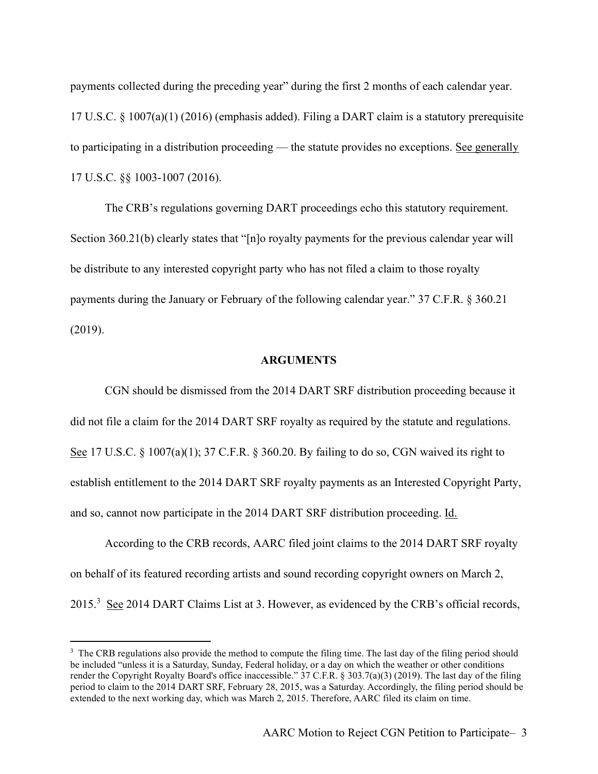payments collected during the preceding year" during the first 2 months of each calendar year. 17 U.S.C. § 1007(a)(1) (2016) (emphasis added). Filing a DART claim is a statutory prerequisite to participating in a distribution proceeding — the statute provides no exceptions. See generally 17 U.S.C. §§ 1003-1007 (2016).

The CRB's regulations governing DART proceedings echo this statutory requirement. Section 360.21(b) clearly states that "[n]o royalty payments for the previous calendar year will be distribute to any interested copyright party who has not filed a claim to those royalty payments during the January or February of the following calendar year." 37 C.F.R. § 360.21 (2019).

#### ARGUMENTS

CGN should be dismissed from the 2014 DART SRF distribution proceeding because it did not file a claim for the 2014 DART SRF royalty as required by the statute and regulations. See 17 U.S.C. § 1007(a)(1); 37 C.F.R. § 360.20. By failing to do so, CGN waived its right to establish entitlement to the 2014 DART SRF royalty payments as an Interested Copyright Party, and so, cannot now participate in the 2014 DART SRF distribution proceeding. Id.

According to the CRB records, AARC filed joint claims to the 2014 DART SRF royalty on behalf of its featured recording artists and sound recording copyright owners on March 2, 2015.<sup>3</sup> See 2014 DART Claims List at 3. However, as evidenced by the CRB's official records,

<sup>&</sup>lt;sup>3</sup> The CRB regulations also provide the method to compute the filing time. The last day of the filing period should be included "unless it is a Saturday, Sunday, Federal holiday, or a day on which the weather or other conditions render the Copyright Royalty Board's office inaccessible." 37 C.F.R. § 303.7(a)(3) (2019). The last day of the filing period to claim to the 2014 DART SRF, February 28, 2015, was a Saturday. Accordingly, the filing period should be extended to the next working day, which was March 2, 2015. Therefore, AARC filed its claim on time.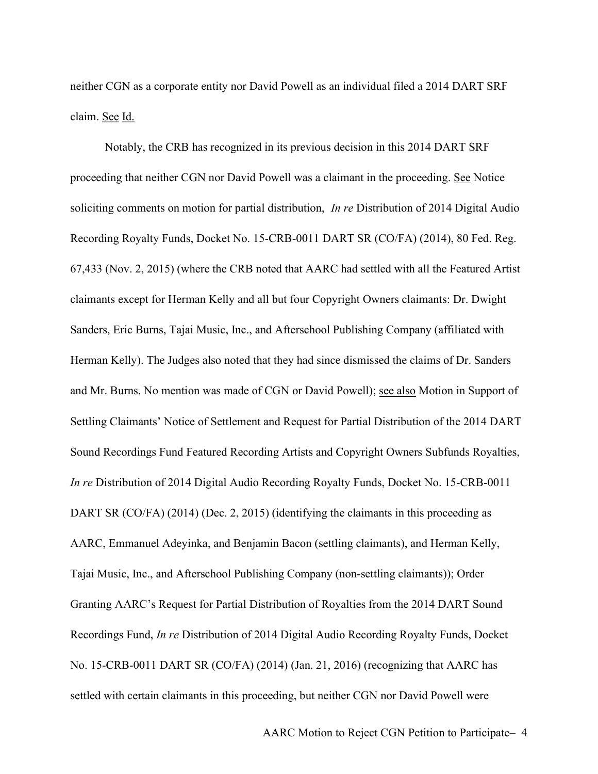neither CGN as a corporate entity nor David Powell as an individual filed a 2014 DART SRF claim. See Id.

Notably, the CRB has recognized in its previous decision in this 2014 DART SRF proceeding that neither CGN nor David Powell was a claimant in the proceeding. See Notice soliciting comments on motion for partial distribution, *In re Distribution* of 2014 Digital Audio Recording Royalty Funds, Docket No. 15-CRB-0011 DART SR (CO/FA) (2014), 80 Fed. Reg. 67,433 (Nov. 2, 2015) (where the CRB noted that AARC had settled with all the Featured Artist claimants except for Herman Kelly and all but four Copyright Owners claimants: Dr. Dwight Sanders, Eric Burns, Tajai Music, Inc., and Afterschool Publishing Company (affiliated with Herman Kelly). The Judges also noted that they had since dismissed the claims of Dr. Sanders and Mr. Burns. No mention was made of CGN or David Powell); see also Motion in Support of Settling Claimants' Notice of Settlement and Request for Partial Distribution of the 2014 DART Sound Recordings Fund Featured Recording Artists and Copyright Owners Subfunds Royalties, In re Distribution of 2014 Digital Audio Recording Royalty Funds, Docket No. 15-CRB-0011 DART SR (CO/FA) (2014) (Dec. 2, 2015) (identifying the claimants in this proceeding as AARC, Emmanuel Adeyinka, and Benjamin Bacon (settling claimants), and Herman Kelly, Tajai Music, Inc., and Afterschool Publishing Company (non-settling claimants)); Order Granting AARC's Request for Partial Distribution of Royalties from the 2014 DART Sound Recordings Fund, In re Distribution of 2014 Digital Audio Recording Royalty Funds, Docket No. 15-CRB-0011 DART SR (CO/FA) (2014) (Jan. 21, 2016) (recognizing that AARC has settled with certain claimants in this proceeding, but neither CGN nor David Powell were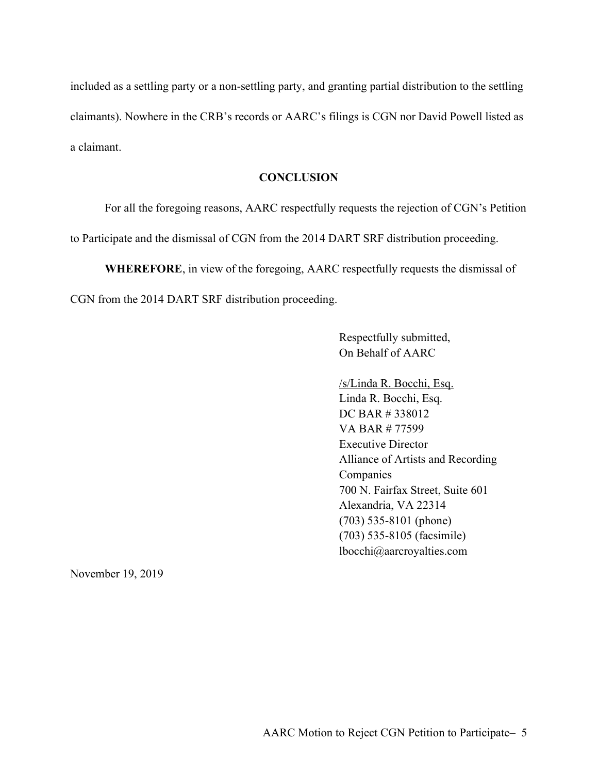included as a settling party or a non-settling party, and granting partial distribution to the settling claimants). Nowhere in the CRB's records or AARC's filings is CGN nor David Powell listed as a claimant.

#### **CONCLUSION**

For all the foregoing reasons, AARC respectfully requests the rejection of CGN's Petition to Participate and the dismissal of CGN from the 2014 DART SRF distribution proceeding.

WHEREFORE, in view of the foregoing, AARC respectfully requests the dismissal of CGN from the 2014 DART SRF distribution proceeding.

> Respectfully submitted, On Behalf of AARC

/s/Linda R. Bocchi, Esq. Linda R. Bocchi, Esq. DC BAR # 338012 VA BAR # 77599 Executive Director Alliance of Artists and Recording Companies 700 N. Fairfax Street, Suite 601 Alexandria, VA 22314 (703) 535-8101 (phone) (703) 535-8105 (facsimile) lbocchi@aarcroyalties.com

November 19, 2019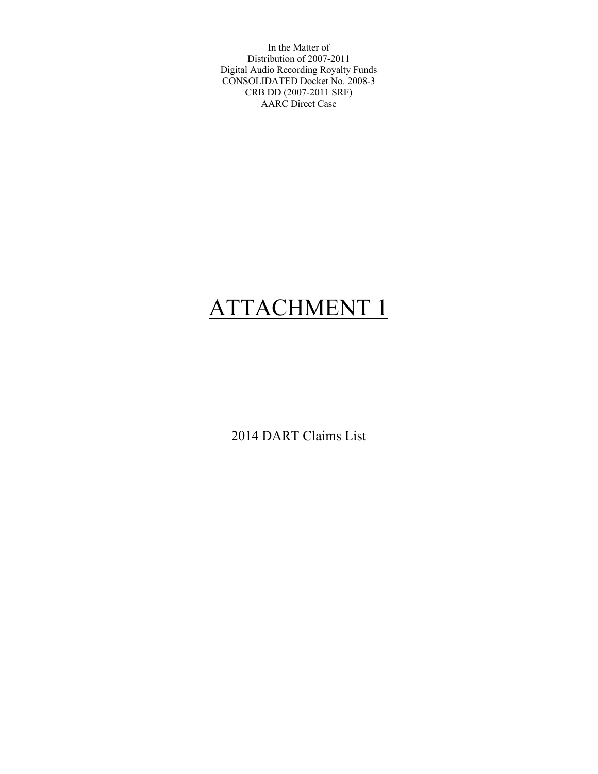In the Matter of Distribution of 2007-2011 Digital Audio Recording Royalty Funds CONSOLIDATED Docket No. 2008-3 CRB DD (2007-2011 SRF) AARC Direct Case

# ATTACHMENT 1

2014 DART Claims List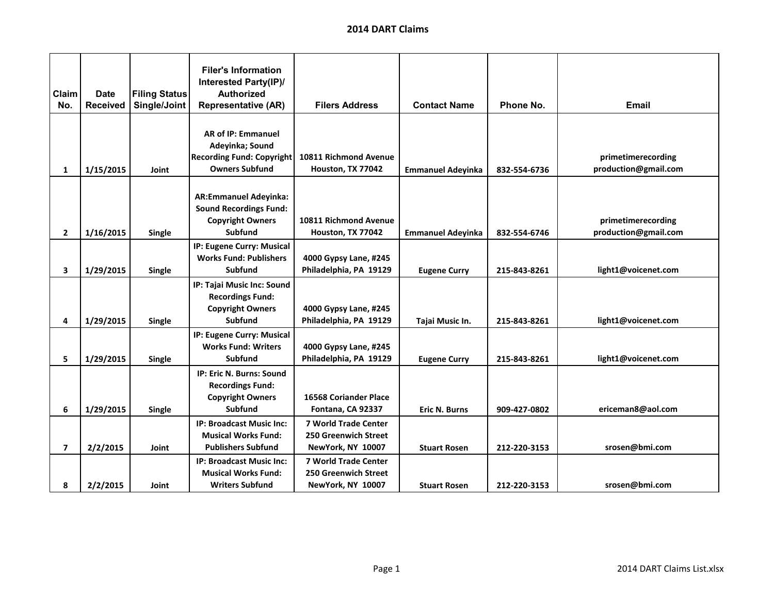| Claim<br>No. | <b>Date</b><br>Received | <b>Filing Status</b><br>Single/Joint | <b>Filer's Information</b><br><b>Interested Party(IP)/</b><br><b>Authorized</b><br><b>Representative (AR)</b> | <b>Filers Address</b>        | <b>Contact Name</b>      | Phone No.    | <b>Email</b>         |
|--------------|-------------------------|--------------------------------------|---------------------------------------------------------------------------------------------------------------|------------------------------|--------------------------|--------------|----------------------|
|              |                         |                                      |                                                                                                               |                              |                          |              |                      |
|              |                         |                                      | AR of IP: Emmanuel                                                                                            |                              |                          |              |                      |
|              |                         |                                      | Adeyinka; Sound                                                                                               |                              |                          |              |                      |
|              |                         |                                      | <b>Recording Fund: Copyright</b>                                                                              | 10811 Richmond Avenue        |                          |              | primetimerecording   |
| $\mathbf{1}$ | 1/15/2015               | Joint                                | <b>Owners Subfund</b>                                                                                         | Houston, TX 77042            | <b>Emmanuel Adeyinka</b> | 832-554-6736 | production@gmail.com |
|              |                         |                                      |                                                                                                               |                              |                          |              |                      |
|              |                         |                                      | <b>AR:Emmanuel Adeyinka:</b>                                                                                  |                              |                          |              |                      |
|              |                         |                                      | <b>Sound Recordings Fund:</b>                                                                                 |                              |                          |              |                      |
|              |                         |                                      | <b>Copyright Owners</b>                                                                                       | 10811 Richmond Avenue        |                          |              | primetimerecording   |
| $\mathbf{2}$ | 1/16/2015               | Single                               | <b>Subfund</b>                                                                                                | Houston, TX 77042            | <b>Emmanuel Adeyinka</b> | 832-554-6746 | production@gmail.com |
|              |                         |                                      | IP: Eugene Curry: Musical                                                                                     |                              |                          |              |                      |
|              |                         |                                      | <b>Works Fund: Publishers</b>                                                                                 | 4000 Gypsy Lane, #245        |                          |              |                      |
| 3            | 1/29/2015               | Single                               | Subfund                                                                                                       | Philadelphia, PA 19129       | <b>Eugene Curry</b>      | 215-843-8261 | light1@voicenet.com  |
|              |                         |                                      | IP: Tajai Music Inc: Sound                                                                                    |                              |                          |              |                      |
|              |                         |                                      | <b>Recordings Fund:</b>                                                                                       |                              |                          |              |                      |
|              |                         |                                      | <b>Copyright Owners</b>                                                                                       | 4000 Gypsy Lane, #245        |                          |              |                      |
| 4            | 1/29/2015               | Single                               | Subfund                                                                                                       | Philadelphia, PA 19129       | Tajai Music In.          | 215-843-8261 | light1@voicenet.com  |
|              |                         |                                      | IP: Eugene Curry: Musical                                                                                     |                              |                          |              |                      |
|              |                         |                                      | <b>Works Fund: Writers</b>                                                                                    | 4000 Gypsy Lane, #245        |                          |              |                      |
| 5            | 1/29/2015               | Single                               | Subfund                                                                                                       | Philadelphia, PA 19129       | <b>Eugene Curry</b>      | 215-843-8261 | light1@voicenet.com  |
|              |                         |                                      | IP: Eric N. Burns: Sound                                                                                      |                              |                          |              |                      |
|              |                         |                                      | <b>Recordings Fund:</b>                                                                                       |                              |                          |              |                      |
|              |                         |                                      | <b>Copyright Owners</b>                                                                                       | <b>16568 Coriander Place</b> |                          |              |                      |
| 6            | 1/29/2015               | Single                               | Subfund                                                                                                       | Fontana, CA 92337            | <b>Eric N. Burns</b>     | 909-427-0802 | ericeman8@aol.com    |
|              |                         |                                      | <b>IP: Broadcast Music Inc:</b>                                                                               | <b>7 World Trade Center</b>  |                          |              |                      |
|              |                         |                                      | <b>Musical Works Fund:</b>                                                                                    | <b>250 Greenwich Street</b>  |                          |              |                      |
| 7            | 2/2/2015                | Joint                                | <b>Publishers Subfund</b>                                                                                     | NewYork, NY 10007            | <b>Stuart Rosen</b>      | 212-220-3153 | srosen@bmi.com       |
|              |                         |                                      | <b>IP: Broadcast Music Inc:</b>                                                                               | <b>7 World Trade Center</b>  |                          |              |                      |
|              |                         |                                      | <b>Musical Works Fund:</b>                                                                                    | <b>250 Greenwich Street</b>  |                          |              |                      |
| 8            | 2/2/2015                | Joint                                | <b>Writers Subfund</b>                                                                                        | NewYork, NY 10007            | <b>Stuart Rosen</b>      | 212-220-3153 | srosen@bmi.com       |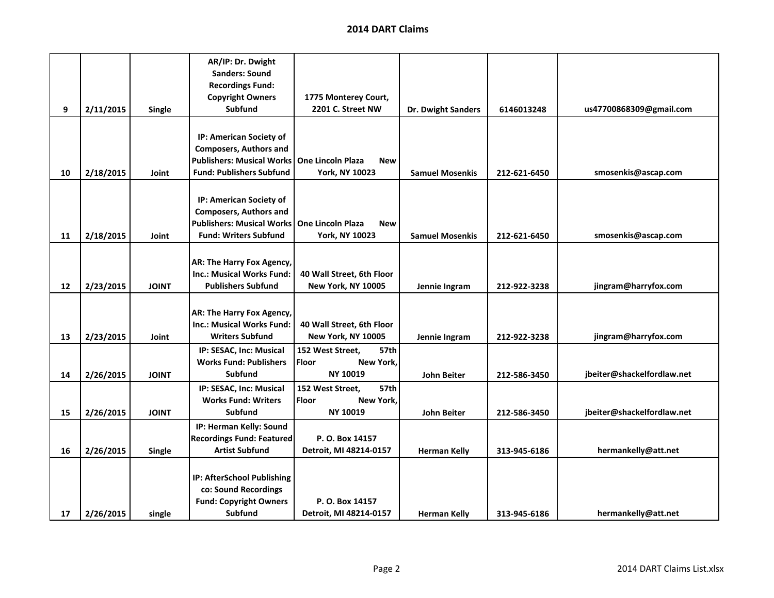|    |           |              | AR/IP: Dr. Dwight                |                                        |                        |              |                            |
|----|-----------|--------------|----------------------------------|----------------------------------------|------------------------|--------------|----------------------------|
|    |           |              | <b>Sanders: Sound</b>            |                                        |                        |              |                            |
|    |           |              | <b>Recordings Fund:</b>          |                                        |                        |              |                            |
|    |           |              | <b>Copyright Owners</b>          | 1775 Monterey Court,                   |                        |              |                            |
| 9  | 2/11/2015 | Single       | <b>Subfund</b>                   | 2201 C. Street NW                      | Dr. Dwight Sanders     | 6146013248   | us47700868309@gmail.com    |
|    |           |              |                                  |                                        |                        |              |                            |
|    |           |              | IP: American Society of          |                                        |                        |              |                            |
|    |           |              | <b>Composers, Authors and</b>    |                                        |                        |              |                            |
|    |           |              | <b>Publishers: Musical Works</b> | <b>One Lincoln Plaza</b><br><b>New</b> |                        |              |                            |
| 10 | 2/18/2015 | Joint        | <b>Fund: Publishers Subfund</b>  | <b>York, NY 10023</b>                  | <b>Samuel Mosenkis</b> | 212-621-6450 | smosenkis@ascap.com        |
|    |           |              |                                  |                                        |                        |              |                            |
|    |           |              |                                  |                                        |                        |              |                            |
|    |           |              | IP: American Society of          |                                        |                        |              |                            |
|    |           |              | <b>Composers, Authors and</b>    |                                        |                        |              |                            |
|    |           |              | <b>Publishers: Musical Works</b> | One Lincoln Plaza<br><b>New</b>        |                        |              |                            |
| 11 | 2/18/2015 | Joint        | <b>Fund: Writers Subfund</b>     | <b>York, NY 10023</b>                  | <b>Samuel Mosenkis</b> | 212-621-6450 | smosenkis@ascap.com        |
|    |           |              |                                  |                                        |                        |              |                            |
|    |           |              | AR: The Harry Fox Agency,        |                                        |                        |              |                            |
|    |           |              | <b>Inc.: Musical Works Fund:</b> | 40 Wall Street, 6th Floor              |                        |              |                            |
| 12 | 2/23/2015 | <b>JOINT</b> | <b>Publishers Subfund</b>        | New York, NY 10005                     | Jennie Ingram          | 212-922-3238 | jingram@harryfox.com       |
|    |           |              |                                  |                                        |                        |              |                            |
|    |           |              | AR: The Harry Fox Agency,        |                                        |                        |              |                            |
|    |           |              | <b>Inc.: Musical Works Fund:</b> | 40 Wall Street, 6th Floor              |                        |              |                            |
| 13 | 2/23/2015 | Joint        | <b>Writers Subfund</b>           | <b>New York, NY 10005</b>              | Jennie Ingram          | 212-922-3238 | jingram@harryfox.com       |
|    |           |              | IP: SESAC, Inc: Musical          | 152 West Street.<br>57th               |                        |              |                            |
|    |           |              | <b>Works Fund: Publishers</b>    | Floor<br>New York,                     |                        |              |                            |
| 14 | 2/26/2015 | <b>JOINT</b> | <b>Subfund</b>                   | NY 10019                               | <b>John Beiter</b>     | 212-586-3450 | jbeiter@shackelfordlaw.net |
|    |           |              | IP: SESAC, Inc: Musical          | 152 West Street,<br><b>57th</b>        |                        |              |                            |
|    |           |              | <b>Works Fund: Writers</b>       | Floor<br>New York,                     |                        |              |                            |
| 15 | 2/26/2015 | <b>JOINT</b> | <b>Subfund</b>                   | NY 10019                               | <b>John Beiter</b>     | 212-586-3450 | jbeiter@shackelfordlaw.net |
|    |           |              |                                  |                                        |                        |              |                            |
|    |           |              | IP: Herman Kelly: Sound          |                                        |                        |              |                            |
|    |           |              | <b>Recordings Fund: Featured</b> | P. O. Box 14157                        |                        |              |                            |
| 16 | 2/26/2015 | Single       | <b>Artist Subfund</b>            | Detroit, MI 48214-0157                 | <b>Herman Kelly</b>    | 313-945-6186 | hermankelly@att.net        |
|    |           |              |                                  |                                        |                        |              |                            |
|    |           |              | IP: AfterSchool Publishing       |                                        |                        |              |                            |
|    |           |              | co: Sound Recordings             |                                        |                        |              |                            |
|    |           |              | <b>Fund: Copyright Owners</b>    | P. O. Box 14157                        |                        |              |                            |
| 17 | 2/26/2015 | single       | Subfund                          | Detroit, MI 48214-0157                 | <b>Herman Kelly</b>    | 313-945-6186 | hermankelly@att.net        |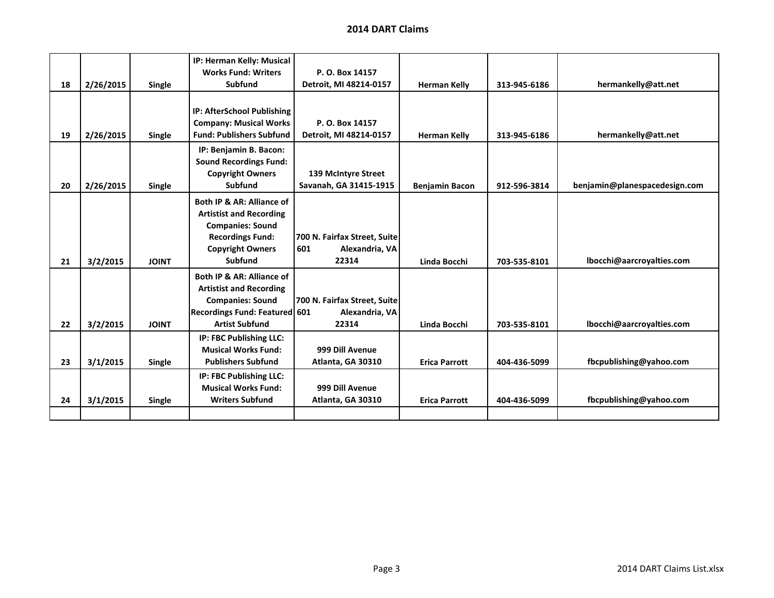|    |           |              | IP: Herman Kelly: Musical            |                              |                       |              |                               |
|----|-----------|--------------|--------------------------------------|------------------------------|-----------------------|--------------|-------------------------------|
|    |           |              | <b>Works Fund: Writers</b>           | P. O. Box 14157              |                       |              |                               |
| 18 | 2/26/2015 | Single       | Subfund                              | Detroit, MI 48214-0157       | <b>Herman Kelly</b>   | 313-945-6186 | hermankelly@att.net           |
|    |           |              |                                      |                              |                       |              |                               |
|    |           |              | IP: AfterSchool Publishing           |                              |                       |              |                               |
|    |           |              | <b>Company: Musical Works</b>        | P. O. Box 14157              |                       |              |                               |
| 19 | 2/26/2015 | Single       | <b>Fund: Publishers Subfund</b>      | Detroit, MI 48214-0157       | <b>Herman Kelly</b>   | 313-945-6186 | hermankelly@att.net           |
|    |           |              | IP: Benjamin B. Bacon:               |                              |                       |              |                               |
|    |           |              | <b>Sound Recordings Fund:</b>        |                              |                       |              |                               |
|    |           |              | <b>Copyright Owners</b>              | 139 McIntyre Street          |                       |              |                               |
| 20 | 2/26/2015 | Single       | <b>Subfund</b>                       | Savanah, GA 31415-1915       | <b>Benjamin Bacon</b> | 912-596-3814 | benjamin@planespacedesign.com |
|    |           |              | Both IP & AR: Alliance of            |                              |                       |              |                               |
|    |           |              | <b>Artistist and Recording</b>       |                              |                       |              |                               |
|    |           |              | <b>Companies: Sound</b>              |                              |                       |              |                               |
|    |           |              | <b>Recordings Fund:</b>              | 700 N. Fairfax Street, Suite |                       |              |                               |
|    |           |              | <b>Copyright Owners</b>              | 601<br>Alexandria, VA        |                       |              |                               |
| 21 | 3/2/2015  | <b>JOINT</b> | <b>Subfund</b>                       | 22314                        | Linda Bocchi          | 703-535-8101 | lbocchi@aarcroyalties.com     |
|    |           |              | Both IP & AR: Alliance of            |                              |                       |              |                               |
|    |           |              | <b>Artistist and Recording</b>       |                              |                       |              |                               |
|    |           |              | <b>Companies: Sound</b>              | 700 N. Fairfax Street, Suite |                       |              |                               |
|    |           |              | <b>Recordings Fund: Featured 601</b> | Alexandria, VA               |                       |              |                               |
| 22 | 3/2/2015  | <b>JOINT</b> | <b>Artist Subfund</b>                | 22314                        | Linda Bocchi          | 703-535-8101 | lbocchi@aarcroyalties.com     |
|    |           |              | IP: FBC Publishing LLC:              |                              |                       |              |                               |
|    |           |              | <b>Musical Works Fund:</b>           | 999 Dill Avenue              |                       |              |                               |
| 23 | 3/1/2015  | Single       | <b>Publishers Subfund</b>            | Atlanta, GA 30310            | <b>Erica Parrott</b>  | 404-436-5099 | fbcpublishing@yahoo.com       |
|    |           |              | IP: FBC Publishing LLC:              |                              |                       |              |                               |
|    |           |              | <b>Musical Works Fund:</b>           | 999 Dill Avenue              |                       |              |                               |
| 24 | 3/1/2015  | Single       | <b>Writers Subfund</b>               | Atlanta, GA 30310            | <b>Erica Parrott</b>  | 404-436-5099 | fbcpublishing@yahoo.com       |
|    |           |              |                                      |                              |                       |              |                               |